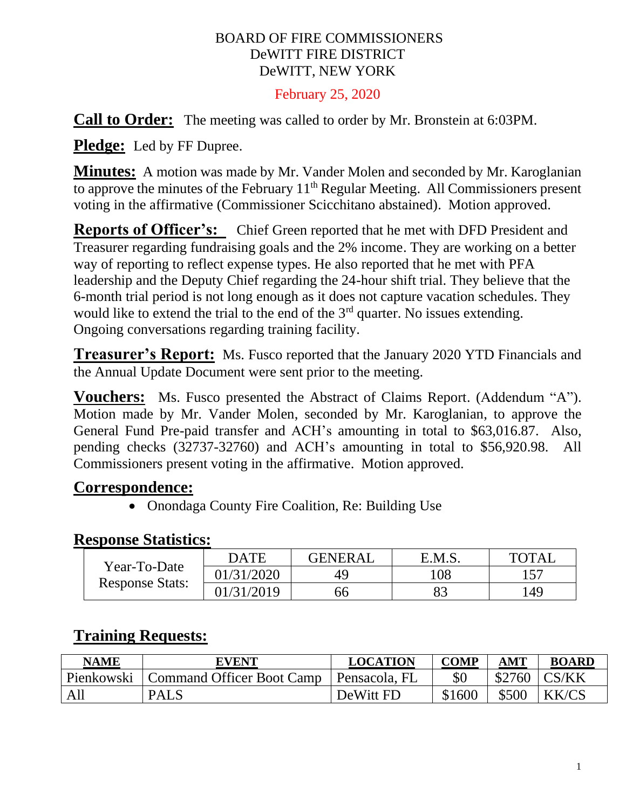#### BOARD OF FIRE COMMISSIONERS DeWITT FIRE DISTRICT DeWITT, NEW YORK

#### February 25, 2020

**Call to Order:** The meeting was called to order by Mr. Bronstein at 6:03PM.

**Pledge:** Led by FF Dupree.

**Minutes:** A motion was made by Mr. Vander Molen and seconded by Mr. Karoglanian to approve the minutes of the February 11<sup>th</sup> Regular Meeting. All Commissioners present voting in the affirmative (Commissioner Scicchitano abstained). Motion approved.

**Reports of Officer's:** Chief Green reported that he met with DFD President and Treasurer regarding fundraising goals and the 2% income. They are working on a better way of reporting to reflect expense types. He also reported that he met with PFA leadership and the Deputy Chief regarding the 24-hour shift trial. They believe that the 6-month trial period is not long enough as it does not capture vacation schedules. They would like to extend the trial to the end of the  $3<sup>rd</sup>$  quarter. No issues extending. Ongoing conversations regarding training facility.

**Treasurer's Report:** Ms. Fusco reported that the January 2020 YTD Financials and the Annual Update Document were sent prior to the meeting.

**Vouchers:** Ms. Fusco presented the Abstract of Claims Report. (Addendum "A"). Motion made by Mr. Vander Molen, seconded by Mr. Karoglanian, to approve the General Fund Pre-paid transfer and ACH's amounting in total to \$63,016.87. Also, pending checks (32737-32760) and ACH's amounting in total to \$56,920.98. All Commissioners present voting in the affirmative. Motion approved.

### **Correspondence:**

• Onondaga County Fire Coalition, Re: Building Use

#### **Response Statistics:**

| Year-To-Date<br><b>Response Stats:</b> | <b>DATE</b> | <b>GENERAL</b> | E.M.S. | TOTAI |
|----------------------------------------|-------------|----------------|--------|-------|
|                                        | 01/31/2020  |                | 08،    |       |
|                                        | 01/31/2019  | 56             | Q2     | 149   |

# **Training Requests:**

| <b>NAME</b> | <b>EVENT</b>              | <b>LOCATION</b> | <b>COMP</b> | <b>AMT</b> | <b>BOARD</b>  |
|-------------|---------------------------|-----------------|-------------|------------|---------------|
| Pienkowski  | Command Officer Boot Camp | Pensacola, FL   |             |            | $$2760$ CS/KK |
| All         | <b>PALS</b>               | DeWitt FD       | \$1600      | \$500      | KK/CS         |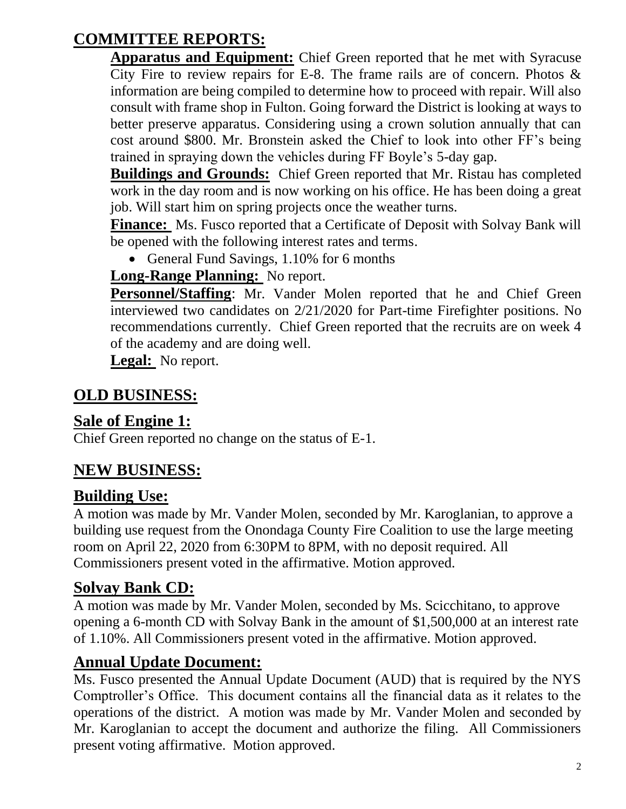# **COMMITTEE REPORTS:**

**Apparatus and Equipment:** Chief Green reported that he met with Syracuse City Fire to review repairs for E-8. The frame rails are of concern. Photos  $\&$ information are being compiled to determine how to proceed with repair. Will also consult with frame shop in Fulton. Going forward the District is looking at ways to better preserve apparatus. Considering using a crown solution annually that can cost around \$800. Mr. Bronstein asked the Chief to look into other FF's being trained in spraying down the vehicles during FF Boyle's 5-day gap.

**Buildings and Grounds:** Chief Green reported that Mr. Ristau has completed work in the day room and is now working on his office. He has been doing a great job. Will start him on spring projects once the weather turns.

**Finance:** Ms. Fusco reported that a Certificate of Deposit with Solvay Bank will be opened with the following interest rates and terms.

• General Fund Savings, 1.10% for 6 months

### **Long-Range Planning:** No report.

**Personnel/Staffing**: Mr. Vander Molen reported that he and Chief Green interviewed two candidates on 2/21/2020 for Part-time Firefighter positions. No recommendations currently. Chief Green reported that the recruits are on week 4 of the academy and are doing well.

**Legal:** No report.

# **OLD BUSINESS:**

### **Sale of Engine 1:**

Chief Green reported no change on the status of E-1.

# **NEW BUSINESS:**

# **Building Use:**

A motion was made by Mr. Vander Molen, seconded by Mr. Karoglanian, to approve a building use request from the Onondaga County Fire Coalition to use the large meeting room on April 22, 2020 from 6:30PM to 8PM, with no deposit required. All Commissioners present voted in the affirmative. Motion approved.

# **Solvay Bank CD:**

A motion was made by Mr. Vander Molen, seconded by Ms. Scicchitano, to approve opening a 6-month CD with Solvay Bank in the amount of \$1,500,000 at an interest rate of 1.10%. All Commissioners present voted in the affirmative. Motion approved.

# **Annual Update Document:**

Ms. Fusco presented the Annual Update Document (AUD) that is required by the NYS Comptroller's Office. This document contains all the financial data as it relates to the operations of the district. A motion was made by Mr. Vander Molen and seconded by Mr. Karoglanian to accept the document and authorize the filing. All Commissioners present voting affirmative. Motion approved.